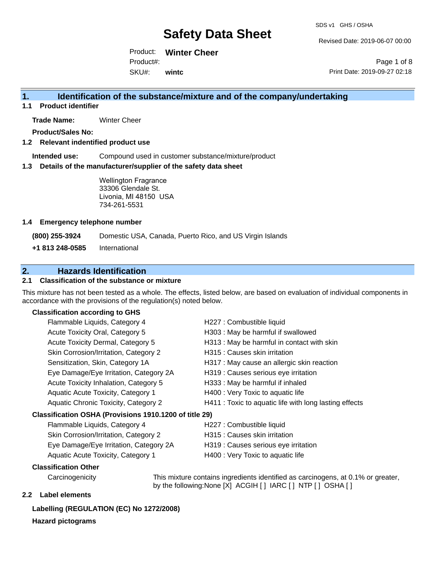Revised Date: 2019-06-07 00:00

Product: **Winter Cheer** SKU#: Product#: **wintc**

Page 1 of 8 Print Date: 2019-09-27 02:18

### **1. Identification of the substance/mixture and of the company/undertaking**

**1.1 Product identifier**

**Trade Name:** Winter Cheer

**Product/Sales No:**

#### **1.2 Relevant indentified product use**

**Intended use:** Compound used in customer substance/mixture/product

#### **1.3 Details of the manufacturer/supplier of the safety data sheet**

Wellington Fragrance 33306 Glendale St. Livonia, MI 48150 USA 734-261-5531

#### **1.4 Emergency telephone number**

**(800) 255-3924** Domestic USA, Canada, Puerto Rico, and US Virgin Islands

**+1 813 248-0585** International

### **2. Hazards Identification**

#### **2.1 Classification of the substance or mixture**

This mixture has not been tested as a whole. The effects, listed below, are based on evaluation of individual components in accordance with the provisions of the regulation(s) noted below.

#### **Classification according to GHS**

| Flammable Liquids, Category 4                          | H227 : Combustible liquid                              |  |  |  |
|--------------------------------------------------------|--------------------------------------------------------|--|--|--|
| Acute Toxicity Oral, Category 5                        | H303 : May be harmful if swallowed                     |  |  |  |
| Acute Toxicity Dermal, Category 5                      | H313 : May be harmful in contact with skin             |  |  |  |
| Skin Corrosion/Irritation, Category 2                  | H315 : Causes skin irritation                          |  |  |  |
| Sensitization, Skin, Category 1A                       | H317 : May cause an allergic skin reaction             |  |  |  |
| Eye Damage/Eye Irritation, Category 2A                 | H319 : Causes serious eye irritation                   |  |  |  |
| Acute Toxicity Inhalation, Category 5                  | H333: May be harmful if inhaled                        |  |  |  |
| Aquatic Acute Toxicity, Category 1                     | H400 : Very Toxic to aquatic life                      |  |  |  |
| Aquatic Chronic Toxicity, Category 2                   | H411 : Toxic to aquatic life with long lasting effects |  |  |  |
| Classification OSHA (Provisions 1910.1200 of title 29) |                                                        |  |  |  |
| Flammable Liquids, Category 4                          | H227 : Combustible liquid                              |  |  |  |
|                                                        |                                                        |  |  |  |

| Flaminable Liquids, Category 4         |  |  |
|----------------------------------------|--|--|
| Skin Corrosion/Irritation, Category 2  |  |  |
| Eye Damage/Eye Irritation, Category 2A |  |  |
| Aquatic Acute Toxicity, Category 1     |  |  |

- H315 : Causes skin irritation
- H319 : Causes serious eye irritation
- H400 : Very Toxic to aquatic life

#### **Classification Other**

Carcinogenicity This mixture contains ingredients identified as carcinogens, at 0.1% or greater, by the following:None [X] ACGIH [ ] IARC [ ] NTP [ ] OSHA [ ]

#### **2.2 Label elements**

#### **Labelling (REGULATION (EC) No 1272/2008)**

**Hazard pictograms**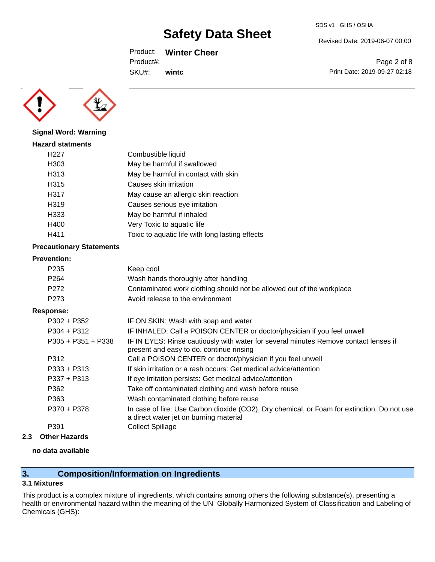Product: **Winter Cheer**

Product#:

SKU#: **wintc**



SDS v1 GHS / OSHA

Page 2 of 8 Print Date: 2019-09-27 02:18



**Signal Word: Warning**

| <b>Hazard statments</b> |                                                 |
|-------------------------|-------------------------------------------------|
| H227                    | Combustible liquid                              |
| H303                    | May be harmful if swallowed                     |
| H313                    | May be harmful in contact with skin             |
| H315                    | Causes skin irritation                          |
| H317                    | May cause an allergic skin reaction             |
| H319                    | Causes serious eye irritation                   |
| H333                    | May be harmful if inhaled                       |
| H400                    | Very Toxic to aquatic life                      |
| H411                    | Toxic to aquatic life with long lasting effects |
|                         |                                                 |

### **Precautionary Statements**

#### **Prevention:**

| Keep cool                                                                                                                        |
|----------------------------------------------------------------------------------------------------------------------------------|
| Wash hands thoroughly after handling                                                                                             |
| Contaminated work clothing should not be allowed out of the workplace                                                            |
| Avoid release to the environment                                                                                                 |
|                                                                                                                                  |
| IF ON SKIN: Wash with soap and water                                                                                             |
| IF INHALED: Call a POISON CENTER or doctor/physician if you feel unwell                                                          |
| IF IN EYES: Rinse cautiously with water for several minutes Remove contact lenses if<br>present and easy to do. continue rinsing |
| Call a POISON CENTER or doctor/physician if you feel unwell                                                                      |
| If skin irritation or a rash occurs: Get medical advice/attention                                                                |
| If eye irritation persists: Get medical advice/attention                                                                         |
|                                                                                                                                  |

| <b>FJJI TFJIJ</b> | <u>II eye illiladiyi persists. Gel filegiyal adviye/alteriliyi i</u>                                                                  |
|-------------------|---------------------------------------------------------------------------------------------------------------------------------------|
| P362              | Take off contaminated clothing and wash before reuse                                                                                  |
| P363              | Wash contaminated clothing before reuse                                                                                               |
| P370 + P378       | In case of fire: Use Carbon dioxide (CO2), Dry chemical, or Foam for extinction. Do not use<br>a direct water jet on burning material |
| P391              | <b>Collect Spillage</b>                                                                                                               |

## **2.3 Other Hazards**

### **no data available**

# **3. Composition/Information on Ingredients**

### **3.1 Mixtures**

This product is a complex mixture of ingredients, which contains among others the following substance(s), presenting a health or environmental hazard within the meaning of the UN Globally Harmonized System of Classification and Labeling of Chemicals (GHS):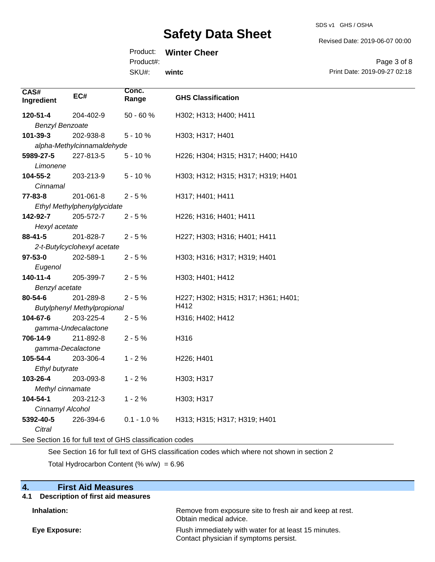SDS v1 GHS / OSHA

Revised Date: 2019-06-07 00:00

| Product: | <b>Winter Cheer</b> |  |
|----------|---------------------|--|
|----------|---------------------|--|

Product#:

SKU#: **wintc**

Page 3 of 8 Print Date: 2019-09-27 02:18

| CAS#<br>Ingredient     | EC#                                                      | Conc.<br>Range | <b>GHS Classification</b>           |  |  |
|------------------------|----------------------------------------------------------|----------------|-------------------------------------|--|--|
| 120-51-4               | 204-402-9                                                | $50 - 60%$     | H302; H313; H400; H411              |  |  |
| <b>Benzyl Benzoate</b> |                                                          |                |                                     |  |  |
| 101-39-3               | 202-938-8                                                | $5 - 10%$      | H303; H317; H401                    |  |  |
|                        | alpha-Methylcinnamaldehyde                               |                |                                     |  |  |
| 5989-27-5              | 227-813-5                                                | $5 - 10%$      | H226; H304; H315; H317; H400; H410  |  |  |
| Limonene               |                                                          |                |                                     |  |  |
| 104-55-2               | 203-213-9                                                | $5 - 10%$      | H303; H312; H315; H317; H319; H401  |  |  |
| Cinnamal               |                                                          |                |                                     |  |  |
| 77-83-8                | 201-061-8                                                | $2 - 5%$       | H317; H401; H411                    |  |  |
|                        | Ethyl Methylphenylglycidate                              |                |                                     |  |  |
| 142-92-7               | 205-572-7                                                | $2 - 5%$       | H226; H316; H401; H411              |  |  |
| Hexyl acetate          |                                                          |                |                                     |  |  |
| $88 - 41 - 5$          | 201-828-7                                                | $2 - 5%$       | H227; H303; H316; H401; H411        |  |  |
|                        | 2-t-Butylcyclohexyl acetate                              |                |                                     |  |  |
| $97 - 53 - 0$          | 202-589-1                                                | $2 - 5%$       | H303; H316; H317; H319; H401        |  |  |
| Eugenol                |                                                          |                |                                     |  |  |
| $140 - 11 - 4$         | 205-399-7                                                | $2 - 5%$       | H303; H401; H412                    |  |  |
| Benzyl acetate         |                                                          |                |                                     |  |  |
| 80-54-6                | 201-289-8                                                | $2 - 5%$       | H227; H302; H315; H317; H361; H401; |  |  |
|                        | <b>Butylphenyl Methylpropional</b>                       |                | H412                                |  |  |
| 104-67-6               | 203-225-4                                                | $2 - 5%$       | H316; H402; H412                    |  |  |
|                        | gamma-Undecalactone                                      |                |                                     |  |  |
| 706-14-9               | 211-892-8                                                | $2 - 5%$       | H316                                |  |  |
| gamma-Decalactone      |                                                          |                |                                     |  |  |
| 105-54-4               | 203-306-4                                                | $1 - 2%$       | H226; H401                          |  |  |
| Ethyl butyrate         |                                                          |                |                                     |  |  |
| 103-26-4               | 203-093-8                                                | $1 - 2%$       | H303; H317                          |  |  |
| Methyl cinnamate       |                                                          |                |                                     |  |  |
| 104-54-1               | 203-212-3                                                | $1 - 2%$       | H303; H317                          |  |  |
| Cinnamyl Alcohol       |                                                          |                |                                     |  |  |
| 5392-40-5              | 226-394-6                                                | $0.1 - 1.0 %$  | H313; H315; H317; H319; H401        |  |  |
| Citral                 |                                                          |                |                                     |  |  |
|                        | See Section 16 for full text of GHS classification codes |                |                                     |  |  |

See Section 16 for full text of GHS classification codes which where not shown in section 2

Total Hydrocarbon Content (%  $w/w$ ) = 6.96

| $\boldsymbol{A}$ .<br><b>First Aid Measures</b><br><b>Description of first aid measures</b><br>4.1 |                                                                                                 |
|----------------------------------------------------------------------------------------------------|-------------------------------------------------------------------------------------------------|
| Inhalation:                                                                                        | Remove from exposure site to fresh air and keep at rest.<br>Obtain medical advice.              |
| Eye Exposure:                                                                                      | Flush immediately with water for at least 15 minutes.<br>Contact physician if symptoms persist. |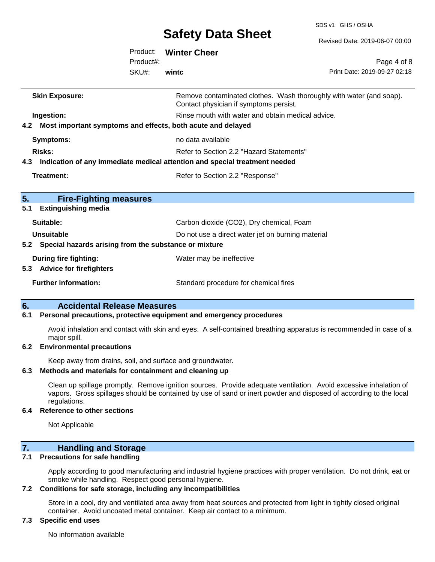SDS v1 GHS / OSHA

|                                                                 |                                                                                | <b>Salety Data Slieet</b>                         | Revised Date: 2019-06-07 00:00                                      |  |
|-----------------------------------------------------------------|--------------------------------------------------------------------------------|---------------------------------------------------|---------------------------------------------------------------------|--|
|                                                                 | Product:                                                                       | <b>Winter Cheer</b>                               |                                                                     |  |
|                                                                 | Product#:                                                                      |                                                   | Page 4 of 8                                                         |  |
|                                                                 | SKU#:                                                                          | wintc                                             | Print Date: 2019-09-27 02:18                                        |  |
| <b>Skin Exposure:</b>                                           |                                                                                | Contact physician if symptoms persist.            | Remove contaminated clothes. Wash thoroughly with water (and soap). |  |
| Ingestion:                                                      |                                                                                | Rinse mouth with water and obtain medical advice. |                                                                     |  |
| 4.2 Most important symptoms and effects, both acute and delayed |                                                                                |                                                   |                                                                     |  |
| <b>Symptoms:</b>                                                |                                                                                | no data available                                 |                                                                     |  |
| <b>Risks:</b>                                                   |                                                                                | Refer to Section 2.2 "Hazard Statements"          |                                                                     |  |
|                                                                 | 4.3 Indication of any immediate medical attention and special treatment needed |                                                   |                                                                     |  |
| <b>Treatment:</b>                                               |                                                                                | Refer to Section 2.2 "Response"                   |                                                                     |  |
| 5.<br><b>Fire-Fighting measures</b>                             |                                                                                |                                                   |                                                                     |  |
| <b>Extinguishing media</b><br>5.1                               |                                                                                |                                                   |                                                                     |  |
| Suitable:                                                       |                                                                                | Carbon dioxide (CO2), Dry chemical, Foam          |                                                                     |  |
| <b>Unsuitable</b>                                               |                                                                                | Do not use a direct water jet on burning material |                                                                     |  |
| 5.2 Special hazards arising from the substance or mixture       |                                                                                |                                                   |                                                                     |  |
| During fire fighting:<br>5.3 Advice for firefighters            |                                                                                | Water may be ineffective                          |                                                                     |  |
| <b>Further information:</b>                                     |                                                                                | Standard procedure for chemical fires             |                                                                     |  |

#### **6. Accidental Release Measures**

#### **6.1 Personal precautions, protective equipment and emergency procedures**

Avoid inhalation and contact with skin and eyes. A self-contained breathing apparatus is recommended in case of a major spill.

#### **6.2 Environmental precautions**

Keep away from drains, soil, and surface and groundwater.

#### **6.3 Methods and materials for containment and cleaning up**

Clean up spillage promptly. Remove ignition sources. Provide adequate ventilation. Avoid excessive inhalation of vapors. Gross spillages should be contained by use of sand or inert powder and disposed of according to the local regulations.

#### **6.4 Reference to other sections**

Not Applicable

### **7. Handling and Storage**

#### **7.1 Precautions for safe handling**

Apply according to good manufacturing and industrial hygiene practices with proper ventilation. Do not drink, eat or smoke while handling. Respect good personal hygiene.

#### **7.2 Conditions for safe storage, including any incompatibilities**

Store in a cool, dry and ventilated area away from heat sources and protected from light in tightly closed original container. Avoid uncoated metal container. Keep air contact to a minimum.

#### **7.3 Specific end uses**

No information available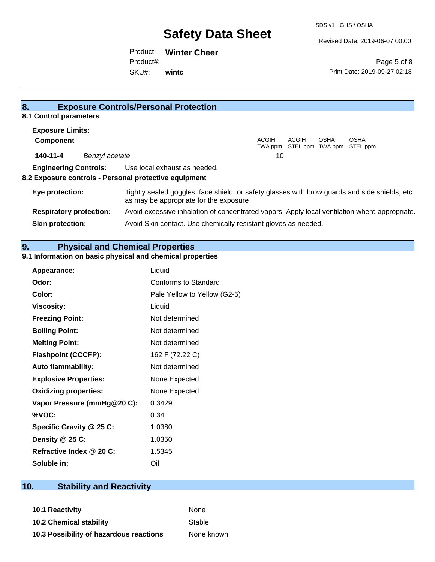Revised Date: 2019-06-07 00:00

Product: **Winter Cheer** SKU#: Product#: **wintc**

Page 5 of 8 Print Date: 2019-09-27 02:18

| 8.                                                    | <b>Exposure Controls/Personal Protection</b>                                                                                             |
|-------------------------------------------------------|------------------------------------------------------------------------------------------------------------------------------------------|
| 8.1 Control parameters                                |                                                                                                                                          |
| <b>Exposure Limits:</b>                               |                                                                                                                                          |
| <b>Component</b>                                      | ACGIH<br>ACGIH<br><b>OSHA</b><br><b>OSHA</b><br>STEL ppm TWA ppm STEL ppm<br>TWA ppm                                                     |
| 140-11-4<br>Benzyl acetate                            | 10                                                                                                                                       |
| <b>Engineering Controls:</b>                          | Use local exhaust as needed.                                                                                                             |
| 8.2 Exposure controls - Personal protective equipment |                                                                                                                                          |
| Eye protection:                                       | Tightly sealed goggles, face shield, or safety glasses with brow guards and side shields, etc.<br>as may be appropriate for the exposure |
| <b>Respiratory protection:</b>                        | Avoid excessive inhalation of concentrated vapors. Apply local ventilation where appropriate.                                            |
| <b>Skin protection:</b>                               | Avoid Skin contact. Use chemically resistant gloves as needed.                                                                           |

# **9. Physical and Chemical Properties**

### **9.1 Information on basic physical and chemical properties**

| Appearance:                  | Liquid                       |
|------------------------------|------------------------------|
| Odor:                        | Conforms to Standard         |
| Color:                       | Pale Yellow to Yellow (G2-5) |
| <b>Viscosity:</b>            | Liquid                       |
| <b>Freezing Point:</b>       | Not determined               |
| <b>Boiling Point:</b>        | Not determined               |
| <b>Melting Point:</b>        | Not determined               |
| <b>Flashpoint (CCCFP):</b>   | 162 F (72.22 C)              |
| <b>Auto flammability:</b>    | Not determined               |
| <b>Explosive Properties:</b> | None Expected                |
| <b>Oxidizing properties:</b> | None Expected                |
| Vapor Pressure (mmHg@20 C):  | 0.3429                       |
| %VOC:                        | 0.34                         |
| Specific Gravity @ 25 C:     | 1.0380                       |
| Density $@25C$ :             | 1.0350                       |
| Refractive Index @ 20 C:     | 1.5345                       |
| Soluble in:                  | Oil                          |

# **10. Stability and Reactivity**

**10.1 Reactivity None 10.2 Chemical stability** Stable **10.3 Possibility of hazardous reactions** None known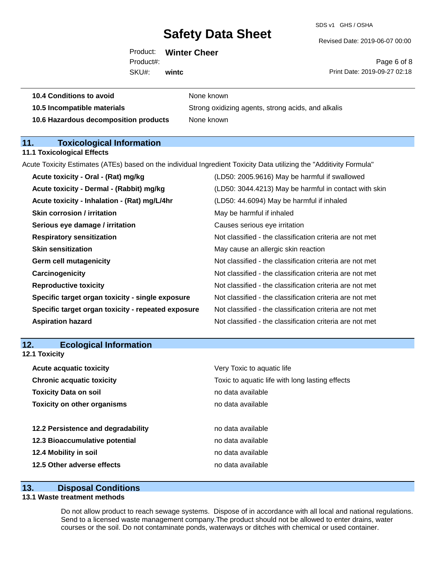SDS v1 GHS / OSHA

Revised Date: 2019-06-07 00:00

|             | Product: Winter Cheer |      |
|-------------|-----------------------|------|
| Product#:   |                       |      |
| SKU#: wintc |                       | Prin |

Page 6 of 8 Print Date: 2019-09-27 02:18

| 10.5 Incompatible materials | Str |
|-----------------------------|-----|
|                             |     |

**10.4 Conditions to avoid** None known

**10.5 Incompatible materials** Strong oxidizing agents, strong acids, and alkalis **10.6 Hazardous decomposition products** None known

**11. Toxicological Information** 

### **11.1 Toxicological Effects**

Acute Toxicity Estimates (ATEs) based on the individual Ingredient Toxicity Data utilizing the "Additivity Formula"

| Acute toxicity - Oral - (Rat) mg/kg                | (LD50: 2005.9616) May be harmful if swallowed            |
|----------------------------------------------------|----------------------------------------------------------|
| Acute toxicity - Dermal - (Rabbit) mg/kg           | (LD50: 3044.4213) May be harmful in contact with skin    |
| Acute toxicity - Inhalation - (Rat) mg/L/4hr       | (LD50: 44.6094) May be harmful if inhaled                |
| <b>Skin corrosion / irritation</b>                 | May be harmful if inhaled                                |
| Serious eye damage / irritation                    | Causes serious eye irritation                            |
| <b>Respiratory sensitization</b>                   | Not classified - the classification criteria are not met |
| <b>Skin sensitization</b>                          | May cause an allergic skin reaction                      |
| <b>Germ cell mutagenicity</b>                      | Not classified - the classification criteria are not met |
| Carcinogenicity                                    | Not classified - the classification criteria are not met |
| <b>Reproductive toxicity</b>                       | Not classified - the classification criteria are not met |
| Specific target organ toxicity - single exposure   | Not classified - the classification criteria are not met |
| Specific target organ toxicity - repeated exposure | Not classified - the classification criteria are not met |
| <b>Aspiration hazard</b>                           | Not classified - the classification criteria are not met |
|                                                    |                                                          |

| <b>Ecological Information</b><br>12. |
|--------------------------------------|
|--------------------------------------|

**12.1 Toxicity**

| <b>Acute acquatic toxicity</b>     | Very Toxic to aquatic life                      |
|------------------------------------|-------------------------------------------------|
| <b>Chronic acquatic toxicity</b>   | Toxic to aquatic life with long lasting effects |
| <b>Toxicity Data on soil</b>       | no data available                               |
| <b>Toxicity on other organisms</b> | no data available                               |
|                                    |                                                 |
| 12.2 Persistence and degradability | no data available                               |
| 12.3 Bioaccumulative potential     | no data available                               |
| 12.4 Mobility in soil              | no data available                               |
| 12.5 Other adverse effects         | no data available                               |

### **13. Disposal Conditions**

#### **13.1 Waste treatment methods**

Do not allow product to reach sewage systems. Dispose of in accordance with all local and national regulations. Send to a licensed waste management company.The product should not be allowed to enter drains, water courses or the soil. Do not contaminate ponds, waterways or ditches with chemical or used container.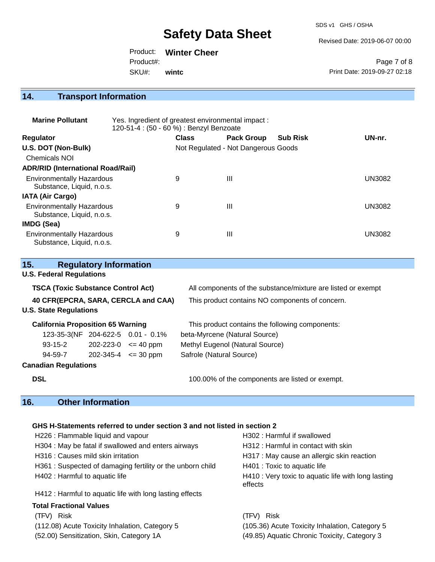SDS v1 GHS / OSHA

Revised Date: 2019-06-07 00:00

Product: **Winter Cheer** SKU#: Product#: **wintc**

Page 7 of 8 Print Date: 2019-09-27 02:18

# **14. Transport Information**

| <b>Marine Pollutant</b>                                       | Yes. Ingredient of greatest environmental impact:<br>120-51-4 : (50 - 60 %) : Benzyl Benzoate |                                     |                   |                 |               |
|---------------------------------------------------------------|-----------------------------------------------------------------------------------------------|-------------------------------------|-------------------|-----------------|---------------|
| <b>Regulator</b>                                              |                                                                                               | <b>Class</b>                        | <b>Pack Group</b> | <b>Sub Risk</b> | UN-nr.        |
| U.S. DOT (Non-Bulk)                                           |                                                                                               | Not Regulated - Not Dangerous Goods |                   |                 |               |
| <b>Chemicals NOI</b>                                          |                                                                                               |                                     |                   |                 |               |
| <b>ADR/RID (International Road/Rail)</b>                      |                                                                                               |                                     |                   |                 |               |
| <b>Environmentally Hazardous</b><br>Substance, Liquid, n.o.s. |                                                                                               | 9                                   | $\mathbf{III}$    |                 | <b>UN3082</b> |
| <b>IATA (Air Cargo)</b>                                       |                                                                                               |                                     |                   |                 |               |
| <b>Environmentally Hazardous</b><br>Substance, Liquid, n.o.s. |                                                                                               | 9                                   | Ш                 |                 | <b>UN3082</b> |
| <b>IMDG (Sea)</b>                                             |                                                                                               |                                     |                   |                 |               |
| <b>Environmentally Hazardous</b><br>Substance, Liquid, n.o.s. |                                                                                               | 9                                   | $\mathbf{III}$    |                 | UN3082        |

| <b>Regulatory Information</b><br>15.      |  |                             |                                                              |  |
|-------------------------------------------|--|-----------------------------|--------------------------------------------------------------|--|
| <b>U.S. Federal Regulations</b>           |  |                             |                                                              |  |
| <b>TSCA (Toxic Substance Control Act)</b> |  |                             | All components of the substance/mixture are listed or exempt |  |
| 40 CFR(EPCRA, SARA, CERCLA and CAA)       |  |                             | This product contains NO components of concern.              |  |
| <b>U.S. State Regulations</b>             |  |                             |                                                              |  |
| <b>California Proposition 65 Warning</b>  |  |                             | This product contains the following components:              |  |
| 123-35-3(NF 204-622-5 0.01 - 0.1%         |  |                             | beta-Myrcene (Natural Source)                                |  |
| $93 - 15 - 2$                             |  | $202 - 223 - 0 \leq 40$ ppm | Methyl Eugenol (Natural Source)                              |  |
| 94-59-7                                   |  | $202 - 345 - 4 \le 30$ ppm  | Safrole (Natural Source)                                     |  |
| <b>Canadian Regulations</b>               |  |                             |                                                              |  |
| <b>DSL</b>                                |  |                             | 100.00% of the components are listed or exempt.              |  |
|                                           |  |                             |                                                              |  |

### **16. Other Information**

### **GHS H-Statements referred to under section 3 and not listed in section 2**

| H226 : Flammable liquid and vapour                        | H302 : Harmful if swallowed                                    |
|-----------------------------------------------------------|----------------------------------------------------------------|
| H304 : May be fatal if swallowed and enters airways       | H312 : Harmful in contact with skin                            |
| H316 : Causes mild skin irritation                        | H317 : May cause an allergic skin reaction                     |
| H361: Suspected of damaging fertility or the unborn child | H401 : Toxic to aquatic life                                   |
| H402 : Harmful to aquatic life                            | H410 : Very toxic to aquatic life with long lasting<br>effects |
| H412 : Harmful to aquatic life with long lasting effects  |                                                                |
| <b>Total Fractional Values</b>                            |                                                                |
| (TFV) Risk                                                | (TFV) Risk                                                     |
| (112.08) Acute Toxicity Inhalation, Category 5            | (105.36) Acute Toxicity Inhalation, Category 5                 |
| (52.00) Sensitization, Skin, Category 1A                  | (49.85) Aquatic Chronic Toxicity, Category 3                   |